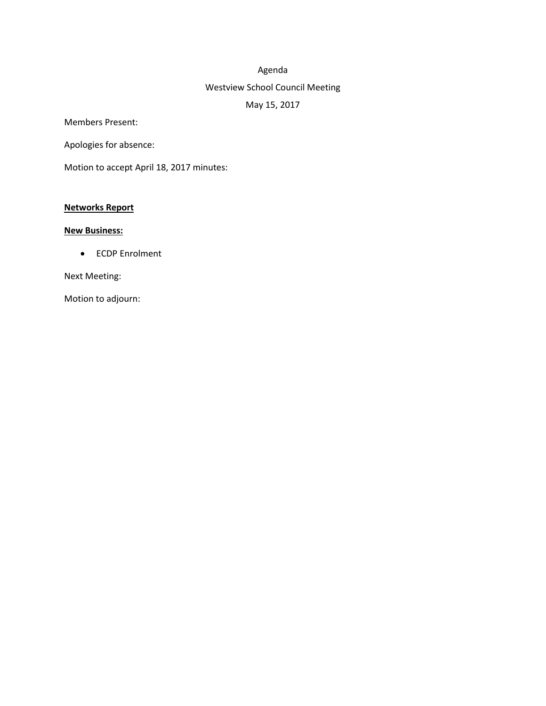# Agenda

## Westview School Council Meeting

# May 15, 2017

Members Present:

Apologies for absence:

Motion to accept April 18, 2017 minutes:

## **Networks Report**

# **New Business:**

ECDP Enrolment

Next Meeting:

Motion to adjourn: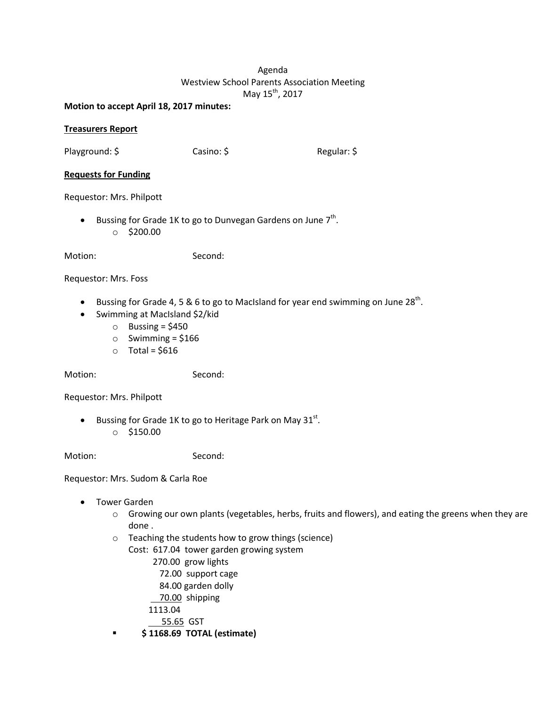# Agenda Westview School Parents Association Meeting May 15<sup>th</sup>, 2017

#### **Motion to accept April 18, 2017 minutes:**

### **Treasurers Report**

Playground: \$ Casino: \$ Regular: \$

#### **Requests for Funding**

Requestor: Mrs. Philpott

• Bussing for Grade 1K to go to Dunvegan Gardens on June  $7<sup>th</sup>$ .  $\circ$  \$200.00

Motion: Second:

#### Requestor: Mrs. Foss

- Bussing for Grade 4, 5 & 6 to go to MacIsland for year end swimming on June 28<sup>th</sup>.
- Swimming at MacIsland \$2/kid
	- $\circ$  Bussing = \$450
	- $\circ$  Swimming = \$166
	- $\circ$  Total = \$616

Motion: Second:

Requestor: Mrs. Philpott

- **•** Bussing for Grade 1K to go to Heritage Park on May 31st.
	- o \$150.00

Motion: Second:

Requestor: Mrs. Sudom & Carla Roe

- Tower Garden
	- $\circ$  Growing our own plants (vegetables, herbs, fruits and flowers), and eating the greens when they are done .
	- o Teaching the students how to grow things (science)

Cost: 617.04 tower garden growing system

- 270.00 grow lights
- 72.00 support cage
- 84.00 garden dolly
- 70.00 shipping
- 1113.04

55.65 GST

**\$ 1168.69 TOTAL (estimate)**